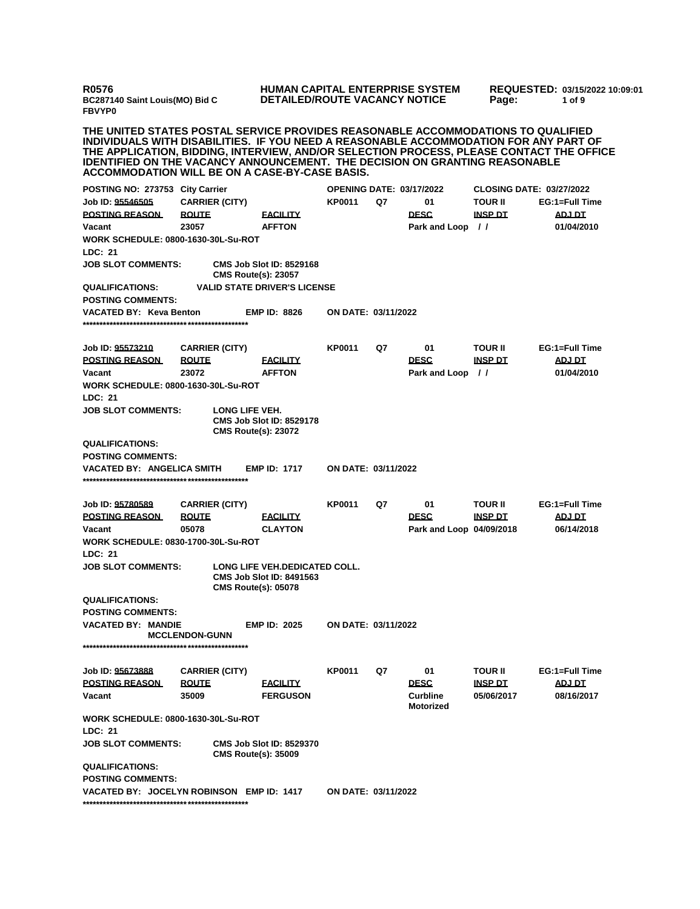**R0576 BC287140 Saint Louis(MO) Bid C FBVYP0**

## **HUMAN CAPITAL ENTERPRISE SYSTEM DETAILED/ROUTE VACANCY NOTICE**

**REQUESTED: 03/15/2022 10:09:01 Page: 1 of 9** 

**THE UNITED STATES POSTAL SERVICE PROVIDES REASONABLE ACCOMMODATIONS TO QUALIFIED INDIVIDUALS WITH DISABILITIES. IF YOU NEED A REASONABLE ACCOMMODATION FOR ANY PART OF THE APPLICATION, BIDDING, INTERVIEW, AND/OR SELECTION PROCESS, PLEASE CONTACT THE OFFICE IDENTIFIED ON THE VACANCY ANNOUNCEMENT. THE DECISION ON GRANTING REASONABLE ACCOMMODATION WILL BE ON A CASE-BY-CASE BASIS.**

| <b>POSTING NO: 273753</b>                                                                                                          | <b>City Carrier</b>   |                                              |                                     | <b>OPENING DATE: 03/17/2022</b> |    |                                     | <b>CLOSING DATE: 03/27/2022</b> |                |
|------------------------------------------------------------------------------------------------------------------------------------|-----------------------|----------------------------------------------|-------------------------------------|---------------------------------|----|-------------------------------------|---------------------------------|----------------|
| Job ID: 95546505                                                                                                                   |                       | <b>CARRIER (CITY)</b>                        |                                     | <b>KP0011</b>                   | Q7 | 01                                  | TOUR II                         | EG:1=Full Time |
| <b>POSTING REASON</b>                                                                                                              | <b>ROUTE</b>          |                                              | <b>FACILITY</b>                     |                                 |    | <b>DESC</b>                         | <b>INSP DT</b>                  | <b>ADJ DT</b>  |
| Vacant                                                                                                                             | 23057                 |                                              | <b>AFFTON</b>                       |                                 |    | Park and Loop                       | $\prime$                        | 01/04/2010     |
| <b>WORK SCHEDULE: 0800-1630-30L-Su-ROT</b>                                                                                         |                       |                                              |                                     |                                 |    |                                     |                                 |                |
| LDC: 21                                                                                                                            |                       |                                              |                                     |                                 |    |                                     |                                 |                |
| <b>JOB SLOT COMMENTS:</b>                                                                                                          |                       | <b>CMS Route(s): 23057</b>                   | <b>CMS Job Slot ID: 8529168</b>     |                                 |    |                                     |                                 |                |
| <b>QUALIFICATIONS:</b>                                                                                                             |                       |                                              | <b>VALID STATE DRIVER'S LICENSE</b> |                                 |    |                                     |                                 |                |
| <b>POSTING COMMENTS:</b>                                                                                                           |                       |                                              |                                     |                                 |    |                                     |                                 |                |
| <b>VACATED BY: Keva Benton</b>                                                                                                     |                       |                                              | <b>EMP ID: 8826</b>                 | ON DATE: 03/11/2022             |    |                                     |                                 |                |
| Job ID: <u>95573210</u>                                                                                                            |                       | <b>CARRIER (CITY)</b>                        |                                     | KP0011                          | Q7 | 01                                  | TOUR II                         | EG:1=Full Time |
| <b>POSTING REASON</b>                                                                                                              | <b>ROUTE</b>          |                                              | <b>FACILITY</b>                     |                                 |    | <b>DESC</b>                         | <b>INSP DT</b>                  | <b>ADJ DT</b>  |
| Vacant                                                                                                                             | 23072                 |                                              | <b>AFFTON</b>                       |                                 |    | Park and Loop                       | $\prime$                        | 01/04/2010     |
| <b>WORK SCHEDULE: 0800-1630-30L-Su-ROT</b>                                                                                         |                       |                                              |                                     |                                 |    |                                     |                                 |                |
| <b>LDC: 21</b>                                                                                                                     |                       |                                              |                                     |                                 |    |                                     |                                 |                |
| <b>JOB SLOT COMMENTS:</b>                                                                                                          |                       | LONG LIFE VEH.<br><b>CMS Route(s): 23072</b> | <b>CMS Job Slot ID: 8529178</b>     |                                 |    |                                     |                                 |                |
| <b>QUALIFICATIONS:</b>                                                                                                             |                       |                                              |                                     |                                 |    |                                     |                                 |                |
| <b>POSTING COMMENTS:</b>                                                                                                           |                       |                                              |                                     |                                 |    |                                     |                                 |                |
| VACATED BY: ANGELICA SMITH                                                                                                         |                       |                                              | <b>EMP ID: 1717</b>                 | ON DATE: 03/11/2022             |    |                                     |                                 |                |
| Job ID: 95780589                                                                                                                   |                       | <b>CARRIER (CITY)</b>                        |                                     | KP0011                          | Q7 | 01                                  | TOUR II                         | EG:1=Full Time |
| <b>POSTING REASON</b>                                                                                                              | <b>ROUTE</b>          |                                              | <b>FACILITY</b>                     |                                 |    | <b>DESC</b>                         | <b>INSP DT</b>                  | ADJ DT         |
| Vacant                                                                                                                             | 05078                 |                                              | <b>CLAYTON</b>                      |                                 |    | Park and Loop 04/09/2018            |                                 | 06/14/2018     |
| <b>WORK SCHEDULE: 0830-1700-30L-Su-ROT</b>                                                                                         |                       |                                              |                                     |                                 |    |                                     |                                 |                |
| LDC: 21                                                                                                                            |                       |                                              |                                     |                                 |    |                                     |                                 |                |
| <b>JOB SLOT COMMENTS:</b><br><b>LONG LIFE VEH.DEDICATED COLL.</b><br><b>CMS Job Slot ID: 8491563</b><br><b>CMS Route(s): 05078</b> |                       |                                              |                                     |                                 |    |                                     |                                 |                |
| <b>QUALIFICATIONS:</b>                                                                                                             |                       |                                              |                                     |                                 |    |                                     |                                 |                |
| <b>POSTING COMMENTS:</b>                                                                                                           |                       |                                              |                                     |                                 |    |                                     |                                 |                |
| <b>VACATED BY: MANDIE</b>                                                                                                          | <b>MCCLENDON-GUNN</b> |                                              | <b>EMP ID: 2025</b>                 | ON DATE: 03/11/2022             |    |                                     |                                 |                |
|                                                                                                                                    |                       |                                              |                                     |                                 |    |                                     |                                 |                |
| Job ID: 95673888                                                                                                                   |                       | <b>CARRIER (CITY)</b>                        |                                     | <b>KP0011</b>                   | Q7 | 01                                  | TOUR II                         | EG:1=Full Time |
| <b>POSTING REASON</b>                                                                                                              | <b>ROUTE</b>          |                                              | <b>FACILITY</b>                     |                                 |    | <b>DESC</b>                         | <b>INSP DT</b>                  | <b>ADJ DT</b>  |
| Vacant                                                                                                                             | 35009                 |                                              | <b>FERGUSON</b>                     |                                 |    | <b>Curbline</b><br><b>Motorized</b> | 05/06/2017                      | 08/16/2017     |
| <b>WORK SCHEDULE: 0800-1630-30L-Su-ROT</b>                                                                                         |                       |                                              |                                     |                                 |    |                                     |                                 |                |
| LDC: 21                                                                                                                            |                       |                                              |                                     |                                 |    |                                     |                                 |                |
| <b>JOB SLOT COMMENTS:</b>                                                                                                          |                       | <b>CMS Route(s): 35009</b>                   | <b>CMS Job Slot ID: 8529370</b>     |                                 |    |                                     |                                 |                |
| <b>QUALIFICATIONS:</b>                                                                                                             |                       |                                              |                                     |                                 |    |                                     |                                 |                |
| <b>POSTING COMMENTS:</b>                                                                                                           |                       |                                              |                                     |                                 |    |                                     |                                 |                |
| VACATED BY: JOCELYN ROBINSON EMP ID: 1417                                                                                          |                       |                                              |                                     | <b>ON DATE: 03/11/2022</b>      |    |                                     |                                 |                |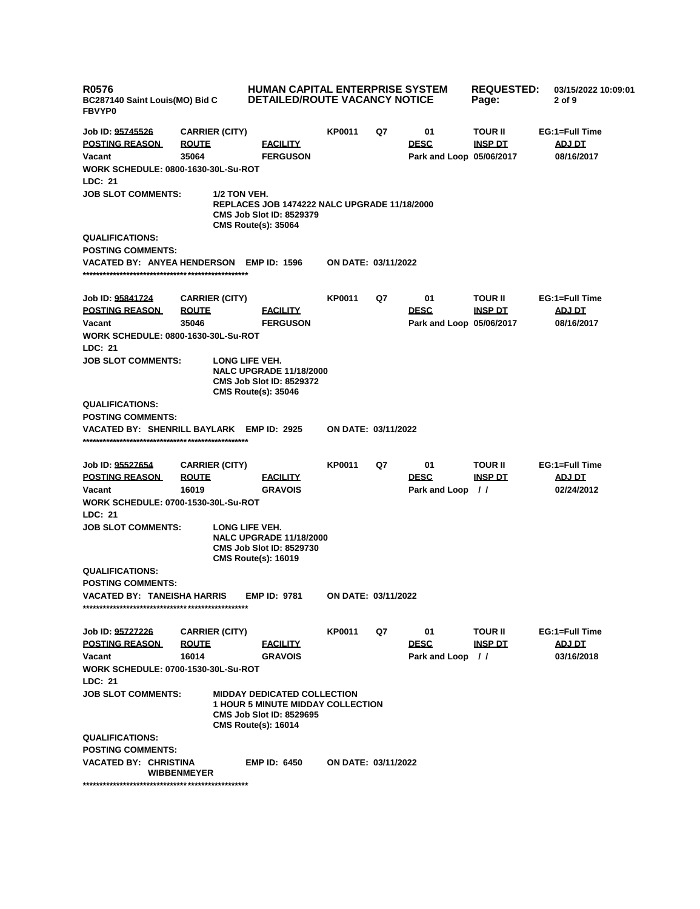| <b>R0576</b><br>BC287140 Saint Louis(MO) Bid C<br><b>FBVYP0</b> | HUMAN CAPITAL ENTERPRISE SYSTEM<br><b>DETAILED/ROUTE VACANCY NOTICE</b> |                                                                                                                                                 |                            | <b>REQUESTED:</b><br>Page: | 03/15/2022 10:09:01<br>2 of 9                 |                                  |                                        |
|-----------------------------------------------------------------|-------------------------------------------------------------------------|-------------------------------------------------------------------------------------------------------------------------------------------------|----------------------------|----------------------------|-----------------------------------------------|----------------------------------|----------------------------------------|
| Job ID: 95745526<br><b>POSTING REASON</b><br>Vacant             | <b>CARRIER (CITY)</b><br><b>ROUTE</b><br>35064                          | <b>EACILITY</b><br><b>FERGUSON</b>                                                                                                              | <b>KP0011</b>              | Q7                         | 01<br><b>DESC</b><br>Park and Loop 05/06/2017 | <b>TOUR II</b><br><b>INSP DT</b> | EG:1=Full Time<br>ADJ DT<br>08/16/2017 |
| <b>WORK SCHEDULE: 0800-1630-30L-Su-ROT</b>                      |                                                                         |                                                                                                                                                 |                            |                            |                                               |                                  |                                        |
| LDC: 21                                                         |                                                                         |                                                                                                                                                 |                            |                            |                                               |                                  |                                        |
| <b>JOB SLOT COMMENTS:</b>                                       | 1/2 TON VEH.                                                            | <b>REPLACES JOB 1474222 NALC UPGRADE 11/18/2000</b><br><b>CMS Job Slot ID: 8529379</b><br><b>CMS Route(s): 35064</b>                            |                            |                            |                                               |                                  |                                        |
| <b>QUALIFICATIONS:</b>                                          |                                                                         |                                                                                                                                                 |                            |                            |                                               |                                  |                                        |
| <b>POSTING COMMENTS:</b>                                        |                                                                         |                                                                                                                                                 |                            |                            |                                               |                                  |                                        |
| <b>VACATED BY: ANYEA HENDERSON</b>                              |                                                                         | <b>EMP ID: 1596</b>                                                                                                                             | <b>ON DATE: 03/11/2022</b> |                            |                                               |                                  |                                        |
| Job ID: 95841724                                                | <b>CARRIER (CITY)</b>                                                   |                                                                                                                                                 | <b>KP0011</b>              | Q7                         | 01                                            | <b>TOUR II</b>                   | EG:1=Full Time                         |
| <b>POSTING REASON</b>                                           | <b>ROUTE</b>                                                            | <b>FACILITY</b>                                                                                                                                 |                            |                            | <b>DESC</b>                                   | <b>INSP DT</b>                   | ADJ DT                                 |
| Vacant                                                          | 35046                                                                   | <b>FERGUSON</b>                                                                                                                                 |                            |                            | Park and Loop 05/06/2017                      |                                  | 08/16/2017                             |
| <b>WORK SCHEDULE: 0800-1630-30L-Su-ROT</b>                      |                                                                         |                                                                                                                                                 |                            |                            |                                               |                                  |                                        |
| <b>LDC: 21</b>                                                  |                                                                         |                                                                                                                                                 |                            |                            |                                               |                                  |                                        |
| <b>JOB SLOT COMMENTS:</b>                                       |                                                                         | LONG LIFE VEH.<br><b>NALC UPGRADE 11/18/2000</b><br><b>CMS Job Slot ID: 8529372</b><br><b>CMS Route(s): 35046</b>                               |                            |                            |                                               |                                  |                                        |
| <b>QUALIFICATIONS:</b>                                          |                                                                         |                                                                                                                                                 |                            |                            |                                               |                                  |                                        |
| <b>POSTING COMMENTS:</b>                                        |                                                                         |                                                                                                                                                 |                            |                            |                                               |                                  |                                        |
| VACATED BY: SHENRILL BAYLARK EMP ID: 2925                       |                                                                         |                                                                                                                                                 | <b>ON DATE: 03/11/2022</b> |                            |                                               |                                  |                                        |
| Job ID: 95527654                                                | <b>CARRIER (CITY)</b>                                                   |                                                                                                                                                 | <b>KP0011</b>              | Q7                         | 01                                            | <b>TOUR II</b>                   | EG:1=Full Time                         |
| <b>POSTING REASON</b>                                           | <b>ROUTE</b>                                                            | <b>FACILITY</b>                                                                                                                                 |                            |                            | <b>DESC</b>                                   | <b>INSP DT</b>                   | <b>ADJ DT</b>                          |
| Vacant                                                          | 16019                                                                   | <b>GRAVOIS</b>                                                                                                                                  |                            |                            | Park and Loop //                              |                                  | 02/24/2012                             |
| <b>WORK SCHEDULE: 0700-1530-30L-Su-ROT</b><br>LDC: 21           |                                                                         |                                                                                                                                                 |                            |                            |                                               |                                  |                                        |
| <b>JOB SLOT COMMENTS:</b>                                       |                                                                         | LONG LIFE VEH.<br><b>NALC UPGRADE 11/18/2000</b><br><b>CMS Job Slot ID: 8529730</b><br><b>CMS Route(s): 16019</b>                               |                            |                            |                                               |                                  |                                        |
| <b>QUALIFICATIONS:</b>                                          |                                                                         |                                                                                                                                                 |                            |                            |                                               |                                  |                                        |
| <b>POSTING COMMENTS:</b>                                        |                                                                         |                                                                                                                                                 |                            |                            |                                               |                                  |                                        |
| <b>VACATED BY: TANEISHA HARRIS</b>                              |                                                                         | <b>EMP ID: 9781</b>                                                                                                                             | ON DATE: 03/11/2022        |                            |                                               |                                  |                                        |
| Job ID: 95727226                                                | <b>CARRIER (CITY)</b>                                                   |                                                                                                                                                 | <b>KP0011</b>              | Q7                         | 01                                            | <b>TOUR II</b>                   | EG:1=Full Time                         |
| <b>POSTING REASON</b>                                           | <b>ROUTE</b>                                                            | <b>EACILITY</b>                                                                                                                                 |                            |                            | <b>DESC</b>                                   | <b>INSP DT</b>                   | ADJ DT                                 |
| Vacant                                                          | 16014                                                                   | <b>GRAVOIS</b>                                                                                                                                  |                            |                            | Park and Loop //                              |                                  | 03/16/2018                             |
| WORK SCHEDULE: 0700-1530-30L-Su-ROT                             |                                                                         |                                                                                                                                                 |                            |                            |                                               |                                  |                                        |
| LDC: 21                                                         |                                                                         |                                                                                                                                                 |                            |                            |                                               |                                  |                                        |
| <b>JOB SLOT COMMENTS:</b>                                       |                                                                         | <b>MIDDAY DEDICATED COLLECTION</b><br><b>1 HOUR 5 MINUTE MIDDAY COLLECTION</b><br><b>CMS Job Slot ID: 8529695</b><br><b>CMS Route(s): 16014</b> |                            |                            |                                               |                                  |                                        |
| <b>QUALIFICATIONS:</b>                                          |                                                                         |                                                                                                                                                 |                            |                            |                                               |                                  |                                        |
| <b>POSTING COMMENTS:</b>                                        |                                                                         |                                                                                                                                                 |                            |                            |                                               |                                  |                                        |
| VACATED BY: CHRISTINA                                           | <b>WIBBENMEYER</b>                                                      | <b>EMP ID: 6450</b>                                                                                                                             | ON DATE: 03/11/2022        |                            |                                               |                                  |                                        |
|                                                                 |                                                                         |                                                                                                                                                 |                            |                            |                                               |                                  |                                        |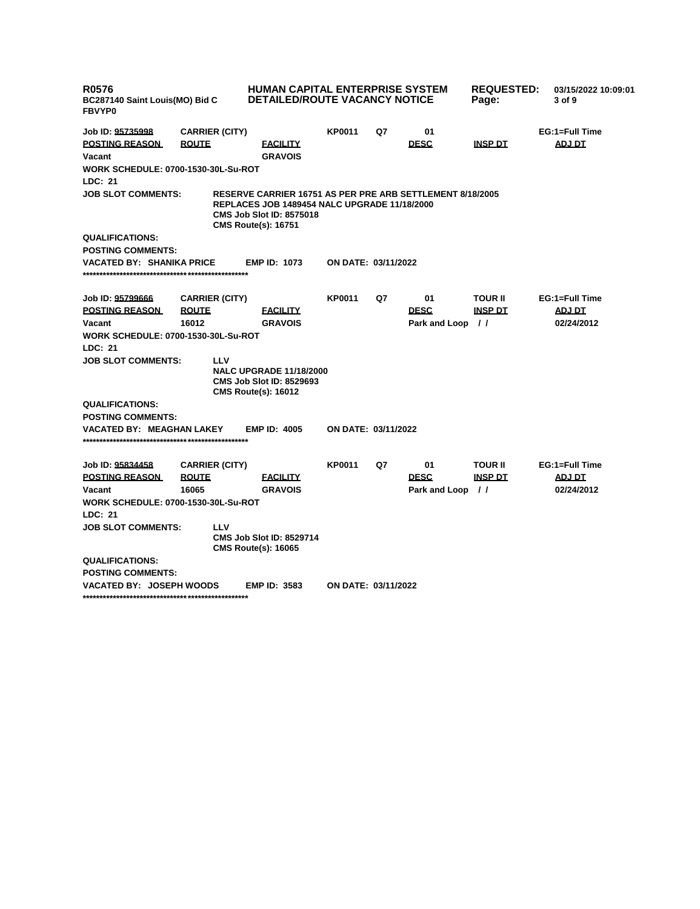| <b>R0576</b><br>BC287140 Saint Louis(MO) Bid C<br><b>FBVYP0</b> |                                | <b>HUMAN CAPITAL ENTERPRISE SYSTEM</b><br><b>DETAILED/ROUTE VACANCY NOTICE</b>                                                                                                           |                            |    |               | <b>REQUESTED:</b><br>Page: | 03/15/2022 10:09:01<br>3 of 9 |
|-----------------------------------------------------------------|--------------------------------|------------------------------------------------------------------------------------------------------------------------------------------------------------------------------------------|----------------------------|----|---------------|----------------------------|-------------------------------|
| Job ID: 95735998                                                | <b>CARRIER (CITY)</b>          |                                                                                                                                                                                          | KP0011                     | Q7 | 01            |                            | EG:1=Full Time                |
| <b>POSTING REASON</b>                                           | <b>ROUTE</b>                   | <b>FACILITY</b>                                                                                                                                                                          |                            |    | <b>DESC</b>   | <b>INSP DT</b>             | <b>ADJ DT</b>                 |
| Vacant                                                          |                                | <b>GRAVOIS</b>                                                                                                                                                                           |                            |    |               |                            |                               |
| <b>WORK SCHEDULE: 0700-1530-30L-Su-ROT</b>                      |                                |                                                                                                                                                                                          |                            |    |               |                            |                               |
| LDC: 21                                                         |                                |                                                                                                                                                                                          |                            |    |               |                            |                               |
| <b>JOB SLOT COMMENTS:</b>                                       |                                | <b>RESERVE CARRIER 16751 AS PER PRE ARB SETTLEMENT 8/18/2005</b><br><b>REPLACES JOB 1489454 NALC UPGRADE 11/18/2000</b><br><b>CMS Job Slot ID: 8575018</b><br><b>CMS Route(s): 16751</b> |                            |    |               |                            |                               |
| <b>QUALIFICATIONS:</b>                                          |                                |                                                                                                                                                                                          |                            |    |               |                            |                               |
| <b>POSTING COMMENTS:</b>                                        |                                |                                                                                                                                                                                          |                            |    |               |                            |                               |
| VACATED BY: SHANIKA PRICE                                       |                                | <b>EMP ID: 1073</b>                                                                                                                                                                      | <b>ON DATE: 03/11/2022</b> |    |               |                            |                               |
| Job ID: 95799666                                                | <b>CARRIER (CITY)</b>          |                                                                                                                                                                                          | KP0011                     | Q7 | 01            | <b>TOUR II</b>             | EG:1=Full Time                |
| <b>POSTING REASON</b>                                           | <b>ROUTE</b>                   | <b>FACILITY</b>                                                                                                                                                                          |                            |    | <b>DESC</b>   | <b>INSP DT</b>             | <b>ADJ DT</b>                 |
| Vacant                                                          | 16012                          | <b>GRAVOIS</b>                                                                                                                                                                           |                            |    | Park and Loop | $\frac{1}{2}$              | 02/24/2012                    |
| <b>WORK SCHEDULE: 0700-1530-30L-Su-ROT</b>                      |                                |                                                                                                                                                                                          |                            |    |               |                            |                               |
| LDC: 21                                                         |                                |                                                                                                                                                                                          |                            |    |               |                            |                               |
| <b>JOB SLOT COMMENTS:</b>                                       | <b>NALC UPGRADE 11/18/2000</b> |                                                                                                                                                                                          |                            |    |               |                            |                               |
| <b>QUALIFICATIONS:</b>                                          |                                |                                                                                                                                                                                          |                            |    |               |                            |                               |
| <b>POSTING COMMENTS:</b>                                        |                                |                                                                                                                                                                                          |                            |    |               |                            |                               |
| <b>VACATED BY: MEAGHAN LAKEY</b>                                |                                | <b>EMP ID: 4005</b>                                                                                                                                                                      | <b>ON DATE: 03/11/2022</b> |    |               |                            |                               |
| Job ID: 95834458                                                | <b>CARRIER (CITY)</b>          |                                                                                                                                                                                          | KP0011                     | Q7 | 01            | <b>TOUR II</b>             | EG:1=Full Time                |
| <b>POSTING REASON</b>                                           | <b>ROUTE</b>                   | <b>FACILITY</b>                                                                                                                                                                          |                            |    | <b>DESC</b>   | <b>INSP DT</b>             | <b>ADJ DT</b>                 |
| Vacant                                                          | 16065                          | <b>GRAVOIS</b>                                                                                                                                                                           |                            |    | Park and Loop | $\frac{1}{2}$              | 02/24/2012                    |
| <b>WORK SCHEDULE: 0700-1530-30L-Su-ROT</b>                      |                                |                                                                                                                                                                                          |                            |    |               |                            |                               |
| <b>LDC: 21</b>                                                  |                                |                                                                                                                                                                                          |                            |    |               |                            |                               |
| <b>JOB SLOT COMMENTS:</b>                                       | <b>LLV</b>                     | <b>CMS Job Slot ID: 8529714</b><br><b>CMS Route(s): 16065</b>                                                                                                                            |                            |    |               |                            |                               |
| <b>QUALIFICATIONS:</b>                                          |                                |                                                                                                                                                                                          |                            |    |               |                            |                               |
| <b>POSTING COMMENTS:</b>                                        |                                |                                                                                                                                                                                          |                            |    |               |                            |                               |
| <b>VACATED BY: JOSEPH WOODS</b>                                 | ON DATE: 03/11/2022            |                                                                                                                                                                                          |                            |    |               |                            |                               |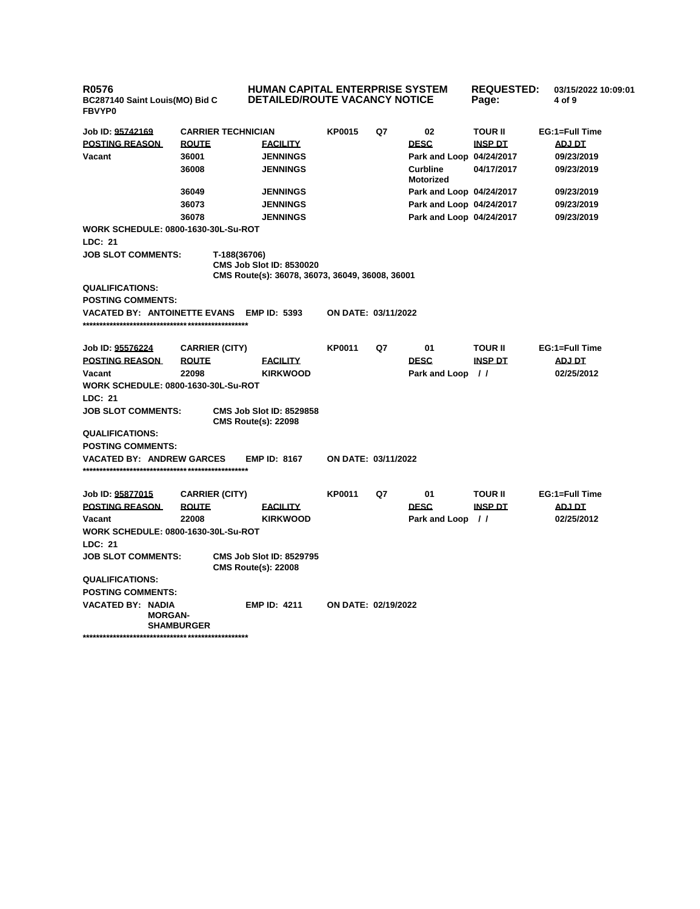**R0576 BC287140 Saint Louis(MO) Bid C FBVYP0**

**HUMAN CAPITAL ENTERPRISE SYSTEM DETAILED/ROUTE VACANCY NOTICE**

**REQUESTED: 03/15/2022 10:09:01 Page: 4 of 9** 

| Job ID: 95742169<br><b>POSTING REASON</b><br>Vacant<br><b>WORK SCHEDULE: 0800-1630-30L-Su-ROT</b><br>LDC: 21 | <b>ROUTE</b><br>36001<br>36008<br>36049<br>36073<br>36078 | <b>CARRIER TECHNICIAN</b> | <b>FACILITY</b><br><b>JENNINGS</b><br><b>JENNINGS</b><br><b>JENNINGS</b><br><b>JENNINGS</b><br><b>JENNINGS</b> | <b>KP0015</b>              | Q7 | 02<br><b>DESC</b><br>Park and Loop 04/24/2017<br>Curbline<br><b>Motorized</b><br>Park and Loop 04/24/2017<br>Park and Loop 04/24/2017<br>Park and Loop 04/24/2017 | <b>TOUR II</b><br><b>INSP DT</b><br>04/17/2017 | EG:1=Full Time<br><b>ADJ DT</b><br>09/23/2019<br>09/23/2019<br>09/23/2019<br>09/23/2019<br>09/23/2019 |  |
|--------------------------------------------------------------------------------------------------------------|-----------------------------------------------------------|---------------------------|----------------------------------------------------------------------------------------------------------------|----------------------------|----|-------------------------------------------------------------------------------------------------------------------------------------------------------------------|------------------------------------------------|-------------------------------------------------------------------------------------------------------|--|
| <b>JOB SLOT COMMENTS:</b>                                                                                    |                                                           | T-188(36706)              | <b>CMS Job Slot ID: 8530020</b><br>CMS Route(s): 36078, 36073, 36049, 36008, 36001                             |                            |    |                                                                                                                                                                   |                                                |                                                                                                       |  |
| <b>QUALIFICATIONS:</b>                                                                                       |                                                           |                           |                                                                                                                |                            |    |                                                                                                                                                                   |                                                |                                                                                                       |  |
| <b>POSTING COMMENTS:</b>                                                                                     |                                                           |                           |                                                                                                                |                            |    |                                                                                                                                                                   |                                                |                                                                                                       |  |
| <b>VACATED BY: ANTOINETTE EVANS</b>                                                                          |                                                           |                           | <b>EMP ID: 5393</b>                                                                                            | <b>ON DATE: 03/11/2022</b> |    |                                                                                                                                                                   |                                                |                                                                                                       |  |
|                                                                                                              |                                                           |                           |                                                                                                                |                            |    |                                                                                                                                                                   |                                                |                                                                                                       |  |
|                                                                                                              |                                                           |                           |                                                                                                                |                            |    |                                                                                                                                                                   |                                                |                                                                                                       |  |
| Job ID: 95576224                                                                                             |                                                           | <b>CARRIER (CITY)</b>     |                                                                                                                | KP0011                     | Q7 | 01                                                                                                                                                                | <b>TOUR II</b>                                 | EG:1=Full Time                                                                                        |  |
| <b>POSTING REASON</b>                                                                                        | <b>ROUTE</b>                                              |                           | <b>FACILITY</b>                                                                                                |                            |    | <b>DESC</b>                                                                                                                                                       | <b>INSP DT</b>                                 | <b>ADJ DT</b>                                                                                         |  |
| Vacant                                                                                                       | 22098                                                     |                           | <b>KIRKWOOD</b>                                                                                                |                            |    | <b>Park and Loop</b>                                                                                                                                              | $\frac{1}{2}$                                  | 02/25/2012                                                                                            |  |
| <b>WORK SCHEDULE: 0800-1630-30L-Su-ROT</b>                                                                   |                                                           |                           |                                                                                                                |                            |    |                                                                                                                                                                   |                                                |                                                                                                       |  |
| LDC: 21                                                                                                      |                                                           |                           |                                                                                                                |                            |    |                                                                                                                                                                   |                                                |                                                                                                       |  |
| <b>JOB SLOT COMMENTS:</b><br>CMS Job Slot ID: 8529858<br><b>CMS Route(s): 22098</b>                          |                                                           |                           |                                                                                                                |                            |    |                                                                                                                                                                   |                                                |                                                                                                       |  |
| <b>QUALIFICATIONS:</b>                                                                                       |                                                           |                           |                                                                                                                |                            |    |                                                                                                                                                                   |                                                |                                                                                                       |  |
| <b>POSTING COMMENTS:</b>                                                                                     |                                                           |                           |                                                                                                                |                            |    |                                                                                                                                                                   |                                                |                                                                                                       |  |
| <b>VACATED BY: ANDREW GARCES</b>                                                                             |                                                           |                           | <b>EMP ID: 8167</b>                                                                                            | <b>ON DATE: 03/11/2022</b> |    |                                                                                                                                                                   |                                                |                                                                                                       |  |
|                                                                                                              |                                                           |                           |                                                                                                                |                            |    |                                                                                                                                                                   |                                                |                                                                                                       |  |
|                                                                                                              |                                                           |                           |                                                                                                                |                            |    |                                                                                                                                                                   |                                                |                                                                                                       |  |
| Job ID: <u>95877015</u><br><b>POSTING REASON</b>                                                             | <b>ROUTE</b>                                              | <b>CARRIER (CITY)</b>     |                                                                                                                | <b>KP0011</b>              | Q7 | 01<br><b>DESC</b>                                                                                                                                                 | <b>TOUR II</b><br><b>INSP DT</b>               | EG:1=Full Time<br><b>ADJ DT</b>                                                                       |  |
|                                                                                                              | 22008                                                     |                           | <b>FACILITY</b>                                                                                                |                            |    |                                                                                                                                                                   |                                                |                                                                                                       |  |
| Vacant<br><b>WORK SCHEDULE: 0800-1630-30L-Su-ROT</b>                                                         |                                                           |                           | <b>KIRKWOOD</b>                                                                                                |                            |    | Park and Loop                                                                                                                                                     | $\prime$                                       | 02/25/2012                                                                                            |  |
| <b>LDC: 21</b>                                                                                               |                                                           |                           |                                                                                                                |                            |    |                                                                                                                                                                   |                                                |                                                                                                       |  |
|                                                                                                              |                                                           |                           |                                                                                                                |                            |    |                                                                                                                                                                   |                                                |                                                                                                       |  |
| <b>JOB SLOT COMMENTS:</b><br><b>CMS Job Slot ID: 8529795</b><br><b>CMS Route(s): 22008</b>                   |                                                           |                           |                                                                                                                |                            |    |                                                                                                                                                                   |                                                |                                                                                                       |  |
| <b>QUALIFICATIONS:</b>                                                                                       |                                                           |                           |                                                                                                                |                            |    |                                                                                                                                                                   |                                                |                                                                                                       |  |
| <b>POSTING COMMENTS:</b>                                                                                     |                                                           |                           |                                                                                                                |                            |    |                                                                                                                                                                   |                                                |                                                                                                       |  |
| VACATED BY: NADIA<br><b>MORGAN-</b>                                                                          | <b>SHAMBURGER</b>                                         |                           | <b>EMP ID: 4211</b>                                                                                            | <b>ON DATE: 02/19/2022</b> |    |                                                                                                                                                                   |                                                |                                                                                                       |  |

**\*\*\*\*\*\*\*\*\*\*\*\*\*\*\*\*\*\*\*\*\*\*\*\*\*\*\*\*\*\*\*\*\*\*\*\*\*\*\*\*\*\*\*\*\*\*\*\*\***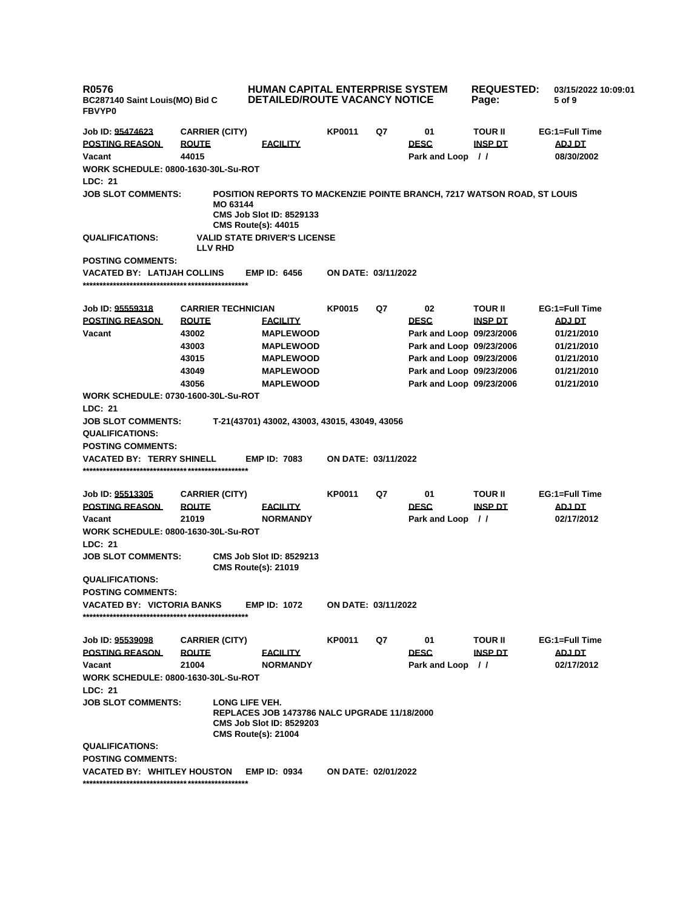**R0576 BC287140 Saint Louis(MO) Bid C FBVYP0 HUMAN CAPITAL ENTERPRISE SYSTEM DETAILED/ROUTE VACANCY NOTICE REQUESTED: 03/15/2022 10:09:01 Page: 5 of 9 Job ID: 95474623 CARRIER (CITY) KP0011 Q7 01 TOUR II EG:1=Full Time POSTING REASON ROUTE FACILITY DESC INSP DT ADJ DT Vacant 44015 Park and Loop / / 08/30/2002 WORK SCHEDULE: 0800-1630-30L-Su-ROT LDC: 21 JOB SLOT COMMENTS: POSITION REPORTS TO MACKENZIE POINTE BRANCH, 7217 WATSON ROAD, ST LOUIS MO 63144 CMS Job Slot ID: 8529133 CMS Route(s): 44015 QUALIFICATIONS: VALID STATE DRIVER'S LICENSE LLV RHD POSTING COMMENTS: VACATED BY: LATIJAH COLLINS EMP ID: 6456 ON DATE: 03/11/2022 \*\*\*\*\*\*\*\*\*\*\*\*\*\*\*\*\*\*\*\*\*\*\*\*\*\*\*\*\*\*\*\*\*\*\*\*\*\*\*\*\*\*\*\*\*\*\*\*\* Job ID: 95559318 CARRIER TECHNICIAN KP0015 Q7 02 TOUR II EG:1=Full Time POSTING REASON ROUTE FACILITY DESC INSP DT ADJ DT Vacant 43002 MAPLEWOOD Park and Loop 09/23/2006 01/21/2010 43003 MAPLEWOOD Park and Loop 09/23/2006 01/21/2010 43015 MAPLEWOOD Park and Loop 09/23/2006 01/21/2010 43049 MAPLEWOOD Park and Loop 09/23/2006 01/21/2010 43056 MAPLEWOOD Park and Loop 09/23/2006 01/21/2010 WORK SCHEDULE: 0730-1600-30L-Su-ROT LDC: 21 JOB SLOT COMMENTS: T-21(43701) 43002, 43003, 43015, 43049, 43056 QUALIFICATIONS: POSTING COMMENTS: VACATED BY: TERRY SHINELL EMP ID: 7083 ON DATE: 03/11/2022 \*\*\*\*\*\*\*\*\*\*\*\*\*\*\*\*\*\*\*\*\*\*\*\*\*\*\*\*\*\*\*\*\*\*\*\*\*\*\*\*\*\*\*\*\*\*\*\*\* Job ID: 95513305 CARRIER (CITY) KP0011 Q7 01 TOUR II EG:1=Full Time POSTING REASON ROUTE FACILITY DESC INSP DT ADJ DT Vacant 21019 NORMANDY Park and Loop / / 02/17/2012 WORK SCHEDULE: 0800-1630-30L-Su-ROT LDC: 21 JOB SLOT COMMENTS: CMS Job Slot ID: 8529213 CMS Route(s): 21019 QUALIFICATIONS: POSTING COMMENTS: VACATED BY: VICTORIA BANKS EMP ID: 1072 ON DATE: 03/11/2022 \*\*\*\*\*\*\*\*\*\*\*\*\*\*\*\*\*\*\*\*\*\*\*\*\*\*\*\*\*\*\*\*\*\*\*\*\*\*\*\*\*\*\*\*\*\*\*\*\* Job ID: 95539098 CARRIER (CITY) KP0011 Q7 01 TOUR II EG:1=Full Time POSTING REASON ROUTE FACILITY DESC INSP DT ADJ DT Vacant 21004 NORMANDY Park and Loop / / 02/17/2012 WORK SCHEDULE: 0800-1630-30L-Su-ROT LDC: 21 JOB SLOT COMMENTS: LONG LIFE VEH. REPLACES JOB 1473786 NALC UPGRADE 11/18/2000 CMS Job Slot ID: 8529203 CMS Route(s): 21004 QUALIFICATIONS: POSTING COMMENTS: VACATED BY: WHITLEY HOUSTON EMP ID: 0934 ON DATE: 02/01/2022 \*\*\*\*\*\*\*\*\*\*\*\*\*\*\*\*\*\*\*\*\*\*\*\*\*\*\*\*\*\*\*\*\*\*\*\*\*\*\*\*\*\*\*\*\*\*\*\*\***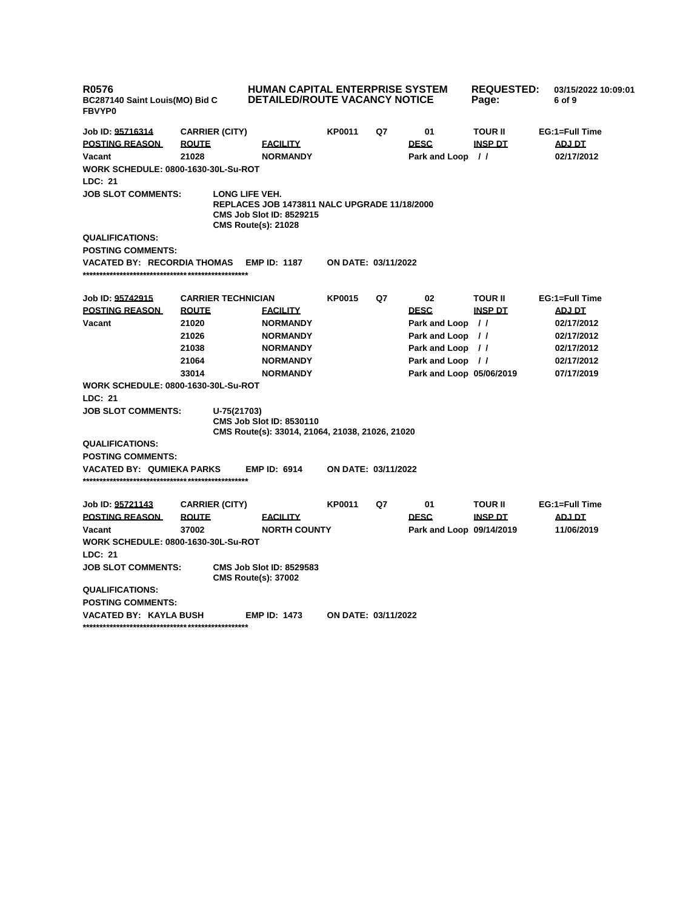| <b>R0576</b><br>BC287140 Saint Louis(MO) Bid C<br><b>FBVYP0</b> |                           | HUMAN CAPITAL ENTERPRISE SYSTEM<br><b>DETAILED/ROUTE VACANCY NOTICE</b>                                                         |                     | <b>REQUESTED:</b><br>Page: | 03/15/2022 10:09:01<br>6 of 9 |                |                |
|-----------------------------------------------------------------|---------------------------|---------------------------------------------------------------------------------------------------------------------------------|---------------------|----------------------------|-------------------------------|----------------|----------------|
| Job ID: 95716314                                                | <b>CARRIER (CITY)</b>     |                                                                                                                                 | <b>KP0011</b>       | Q7                         | 01                            | <b>TOUR II</b> | EG:1=Full Time |
| <b>POSTING REASON</b>                                           | <b>ROUTE</b>              | <b>FACILITY</b>                                                                                                                 |                     |                            | <b>DESC</b>                   | <b>INSP DT</b> | ADJ DT         |
| Vacant                                                          | 21028                     | <b>NORMANDY</b>                                                                                                                 |                     |                            | Park and Loop //              |                | 02/17/2012     |
| <b>WORK SCHEDULE: 0800-1630-30L-Su-ROT</b>                      |                           |                                                                                                                                 |                     |                            |                               |                |                |
| LDC: 21                                                         |                           |                                                                                                                                 |                     |                            |                               |                |                |
| <b>JOB SLOT COMMENTS:</b>                                       |                           | LONG LIFE VEH.<br>REPLACES JOB 1473811 NALC UPGRADE 11/18/2000<br><b>CMS Job Slot ID: 8529215</b><br><b>CMS Route(s): 21028</b> |                     |                            |                               |                |                |
| <b>QUALIFICATIONS:</b>                                          |                           |                                                                                                                                 |                     |                            |                               |                |                |
| <b>POSTING COMMENTS:</b>                                        |                           |                                                                                                                                 |                     |                            |                               |                |                |
| <b>VACATED BY: RECORDIA THOMAS</b>                              |                           | <b>EMP ID: 1187</b>                                                                                                             | ON DATE: 03/11/2022 |                            |                               |                |                |
| Job ID: 95742915                                                | <b>CARRIER TECHNICIAN</b> |                                                                                                                                 | <b>KP0015</b>       | Q7                         | 02                            | <b>TOUR II</b> | EG:1=Full Time |
| <b>POSTING REASON</b>                                           | <b>ROUTE</b>              | <b>FACILITY</b>                                                                                                                 |                     |                            | <b>DESC</b>                   | <b>INSP DT</b> | <b>ADJ DT</b>  |
| Vacant                                                          | 21020                     | <b>NORMANDY</b>                                                                                                                 |                     |                            | Park and Loop //              |                | 02/17/2012     |
|                                                                 | 21026                     | <b>NORMANDY</b>                                                                                                                 |                     |                            | Park and Loop //              |                | 02/17/2012     |
|                                                                 | 21038                     | <b>NORMANDY</b>                                                                                                                 |                     |                            | Park and Loop //              |                | 02/17/2012     |
|                                                                 | 21064                     | <b>NORMANDY</b>                                                                                                                 |                     |                            | Park and Loop //              |                | 02/17/2012     |
|                                                                 | 33014                     | <b>NORMANDY</b>                                                                                                                 |                     |                            | Park and Loop 05/06/2019      |                | 07/17/2019     |
| <b>WORK SCHEDULE: 0800-1630-30L-Su-ROT</b>                      |                           |                                                                                                                                 |                     |                            |                               |                |                |
| LDC: 21                                                         |                           |                                                                                                                                 |                     |                            |                               |                |                |
| <b>JOB SLOT COMMENTS:</b>                                       | U-75(21703)               | <b>CMS Job Slot ID: 8530110</b><br>CMS Route(s): 33014, 21064, 21038, 21026, 21020                                              |                     |                            |                               |                |                |
| <b>QUALIFICATIONS:</b>                                          |                           |                                                                                                                                 |                     |                            |                               |                |                |
| <b>POSTING COMMENTS:</b>                                        |                           |                                                                                                                                 |                     |                            |                               |                |                |
| VACATED BY: QUMIEKA PARKS                                       |                           | <b>EMP ID: 6914</b>                                                                                                             | ON DATE: 03/11/2022 |                            |                               |                |                |
| Job ID: 95721143                                                | <b>CARRIER (CITY)</b>     |                                                                                                                                 | KP0011              | Q7                         | 01                            | <b>TOUR II</b> | EG:1=Full Time |
| <b>POSTING REASON</b>                                           | <b>ROUTE</b>              | <b>FACILITY</b>                                                                                                                 |                     |                            | <b>DESC</b>                   | <b>INSP DT</b> | <b>ADJ DT</b>  |
| Vacant                                                          | 37002                     | <b>NORTH COUNTY</b>                                                                                                             |                     |                            | Park and Loop 09/14/2019      |                | 11/06/2019     |
| <b>WORK SCHEDULE: 0800-1630-30L-Su-ROT</b>                      |                           |                                                                                                                                 |                     |                            |                               |                |                |
| LDC: 21                                                         |                           |                                                                                                                                 |                     |                            |                               |                |                |
| <b>JOB SLOT COMMENTS:</b>                                       |                           | <b>CMS Job Slot ID: 8529583</b><br><b>CMS Route(s): 37002</b>                                                                   |                     |                            |                               |                |                |
| <b>QUALIFICATIONS:</b>                                          |                           |                                                                                                                                 |                     |                            |                               |                |                |
| <b>POSTING COMMENTS:</b>                                        |                           |                                                                                                                                 |                     |                            |                               |                |                |
| <b>VACATED BY: KAYLA BUSH</b>                                   |                           | <b>EMP ID: 1473</b>                                                                                                             | ON DATE: 03/11/2022 |                            |                               |                |                |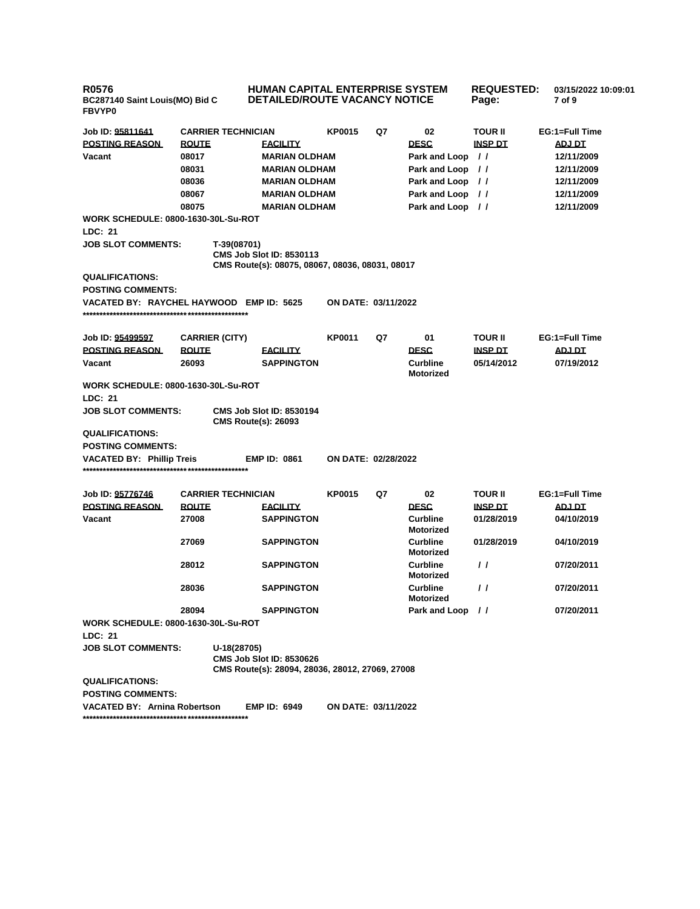| <b>R0576</b><br>BC287140 Saint Louis(MO) Bid C<br>FBVYP0 |              |                                                                                                   | <b>HUMAN CAPITAL ENTERPRISE SYSTEM</b><br><b>DETAILED/ROUTE VACANCY NOTICE</b> | <b>REQUESTED:</b><br>Page: | 03/15/2022 10:09:01<br>7 of 9       |                |                |
|----------------------------------------------------------|--------------|---------------------------------------------------------------------------------------------------|--------------------------------------------------------------------------------|----------------------------|-------------------------------------|----------------|----------------|
| Job ID: 95811641                                         |              | <b>CARRIER TECHNICIAN</b>                                                                         | <b>KP0015</b>                                                                  | Q7                         | 02                                  | <b>TOUR II</b> | EG:1=Full Time |
| <b>POSTING REASON</b>                                    | <b>ROUTE</b> | <b>FACILITY</b>                                                                                   |                                                                                |                            | <b>DESC</b>                         | <b>INSP DT</b> | ADJ DT         |
| Vacant                                                   | 08017        | <b>MARIAN OLDHAM</b>                                                                              |                                                                                |                            | Park and Loop //                    |                | 12/11/2009     |
|                                                          | 08031        | <b>MARIAN OLDHAM</b>                                                                              |                                                                                |                            | Park and Loop //                    |                | 12/11/2009     |
|                                                          | 08036        | <b>MARIAN OLDHAM</b>                                                                              |                                                                                |                            | Park and Loop //                    |                | 12/11/2009     |
|                                                          | 08067        | <b>MARIAN OLDHAM</b>                                                                              |                                                                                |                            | Park and Loop //                    |                | 12/11/2009     |
|                                                          | 08075        | <b>MARIAN OLDHAM</b>                                                                              |                                                                                |                            | Park and Loop //                    |                | 12/11/2009     |
| <b>WORK SCHEDULE: 0800-1630-30L-Su-ROT</b>               |              |                                                                                                   |                                                                                |                            |                                     |                |                |
| LDC: 21                                                  |              |                                                                                                   |                                                                                |                            |                                     |                |                |
| <b>JOB SLOT COMMENTS:</b>                                |              | T-39(08701)<br><b>CMS Job Slot ID: 8530113</b><br>CMS Route(s): 08075, 08067, 08036, 08031, 08017 |                                                                                |                            |                                     |                |                |
| <b>QUALIFICATIONS:</b>                                   |              |                                                                                                   |                                                                                |                            |                                     |                |                |
| <b>POSTING COMMENTS:</b>                                 |              |                                                                                                   |                                                                                |                            |                                     |                |                |
| VACATED BY: RAYCHEL HAYWOOD EMP ID: 5625                 |              |                                                                                                   | ON DATE: 03/11/2022                                                            |                            |                                     |                |                |
| Job ID: 95499597                                         |              | <b>CARRIER (CITY)</b>                                                                             | <b>KP0011</b>                                                                  | Q7                         | 01                                  | <b>TOUR II</b> | EG:1=Full Time |
| <b>POSTING REASON</b>                                    | <b>ROUTE</b> | <b>FACILITY</b>                                                                                   |                                                                                |                            | <b>DESC</b>                         | <b>INSP DT</b> | ADJ DT         |
| Vacant                                                   | 26093        | <b>SAPPINGTON</b>                                                                                 |                                                                                |                            | <b>Curbline</b><br><b>Motorized</b> | 05/14/2012     | 07/19/2012     |
| <b>WORK SCHEDULE: 0800-1630-30L-Su-ROT</b><br>LDC: 21    |              |                                                                                                   |                                                                                |                            |                                     |                |                |
| <b>JOB SLOT COMMENTS:</b>                                |              | <b>CMS Job Slot ID: 8530194</b><br><b>CMS Route(s): 26093</b>                                     |                                                                                |                            |                                     |                |                |
| <b>QUALIFICATIONS:</b><br><b>POSTING COMMENTS:</b>       |              |                                                                                                   |                                                                                |                            |                                     |                |                |
| <b>VACATED BY: Phillip Treis</b>                         |              | <b>EMP ID: 0861</b>                                                                               | ON DATE: 02/28/2022                                                            |                            |                                     |                |                |
|                                                          |              |                                                                                                   |                                                                                |                            |                                     |                |                |
| Job ID: 95776746                                         |              | <b>CARRIER TECHNICIAN</b>                                                                         | <b>KP0015</b>                                                                  | Q7                         | 02                                  | <b>TOUR II</b> | EG:1=Full Time |
| <b>POSTING REASON</b>                                    | <b>ROUTE</b> | <b>FACILITY</b>                                                                                   |                                                                                |                            | <b>DESC</b>                         | <b>INSP DT</b> | <b>ADJ DT</b>  |
| Vacant                                                   | 27008        | <b>SAPPINGTON</b>                                                                                 |                                                                                |                            | <b>Curbline</b><br><b>Motorized</b> | 01/28/2019     | 04/10/2019     |
|                                                          | 27069        | <b>SAPPINGTON</b>                                                                                 |                                                                                |                            | <b>Curbline</b><br><b>Motorized</b> | 01/28/2019     | 04/10/2019     |
|                                                          | 28012        | <b>SAPPINGTON</b>                                                                                 |                                                                                |                            | <b>Curbline</b><br>Motorized        | $\prime\prime$ | 07/20/2011     |
|                                                          | 28036        | <b>SAPPINGTON</b>                                                                                 |                                                                                |                            | <b>Curbline</b><br>Motorized        | $\prime\prime$ | 07/20/2011     |
|                                                          | 28094        | <b>SAPPINGTON</b>                                                                                 |                                                                                |                            | Park and Loop //                    |                | 07/20/2011     |
| <b>WORK SCHEDULE: 0800-1630-30L-Su-ROT</b>               |              |                                                                                                   |                                                                                |                            |                                     |                |                |
| LDC: 21                                                  |              |                                                                                                   |                                                                                |                            |                                     |                |                |
| <b>JOB SLOT COMMENTS:</b>                                |              | U-18(28705)<br><b>CMS Job Slot ID: 8530626</b>                                                    |                                                                                |                            |                                     |                |                |
| <b>QUALIFICATIONS:</b>                                   |              | CMS Route(s): 28094, 28036, 28012, 27069, 27008                                                   |                                                                                |                            |                                     |                |                |
| <b>POSTING COMMENTS:</b>                                 |              |                                                                                                   |                                                                                |                            |                                     |                |                |
| VACATED BY: Arnina Robertson                             |              | <b>EMP ID: 6949</b>                                                                               | ON DATE: 03/11/2022                                                            |                            |                                     |                |                |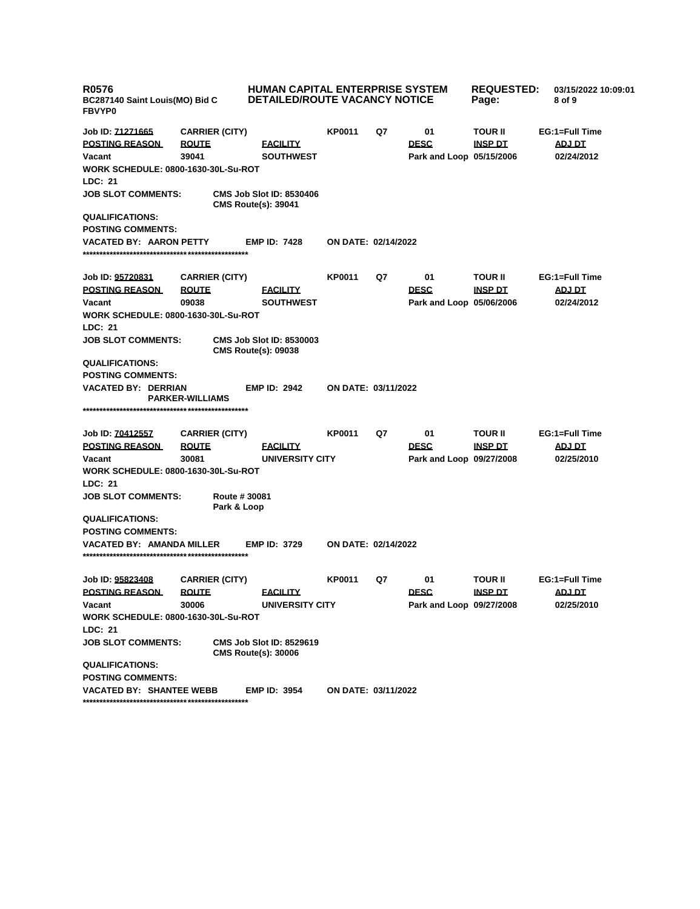| <b>R0576</b><br>BC287140 Saint Louis(MO) Bid C<br><b>FBVYP0</b> |                              | <b>HUMAN CAPITAL ENTERPRISE SYSTEM</b><br><b>DETAILED/ROUTE VACANCY NOTICE</b> |                            |    |                          | <b>REQUESTED:</b><br>Page: | 03/15/2022 10:09:01<br>8 of 9 |
|-----------------------------------------------------------------|------------------------------|--------------------------------------------------------------------------------|----------------------------|----|--------------------------|----------------------------|-------------------------------|
| Job ID: <u>71271665</u>                                         | <b>CARRIER (CITY)</b>        |                                                                                | <b>KP0011</b>              | Q7 | 01                       | <b>TOUR II</b>             | EG:1=Full Time                |
| <b>POSTING REASON</b>                                           | <b>ROUTE</b>                 | <b>FACILITY</b>                                                                |                            |    | <b>DESC</b>              | <b>INSP DT</b>             | <b>ADJ DT</b>                 |
| Vacant                                                          | 39041                        | <b>SOUTHWEST</b>                                                               |                            |    | Park and Loop 05/15/2006 |                            | 02/24/2012                    |
| <b>WORK SCHEDULE: 0800-1630-30L-Su-ROT</b>                      |                              |                                                                                |                            |    |                          |                            |                               |
| LDC: 21                                                         |                              |                                                                                |                            |    |                          |                            |                               |
| <b>JOB SLOT COMMENTS:</b>                                       |                              | <b>CMS Job Slot ID: 8530406</b><br><b>CMS Route(s): 39041</b>                  |                            |    |                          |                            |                               |
| <b>QUALIFICATIONS:</b>                                          |                              |                                                                                |                            |    |                          |                            |                               |
| <b>POSTING COMMENTS:</b>                                        |                              |                                                                                |                            |    |                          |                            |                               |
| <b>VACATED BY: AARON PETTY</b>                                  |                              | <b>EMP ID: 7428</b>                                                            | ON DATE: 02/14/2022        |    |                          |                            |                               |
| Job ID: 95720831                                                | <b>CARRIER (CITY)</b>        |                                                                                | <b>KP0011</b>              | Q7 | 01                       | <b>TOUR II</b>             | EG:1=Full Time                |
| <b>POSTING REASON</b>                                           | <b>ROUTE</b>                 | <b>FACILITY</b>                                                                |                            |    | <b>DESC</b>              | <u>INSP DT</u>             | <u>ADJ DT</u>                 |
| Vacant                                                          | 09038                        | <b>SOUTHWEST</b>                                                               |                            |    | Park and Loop 05/06/2006 |                            | 02/24/2012                    |
| <b>WORK SCHEDULE: 0800-1630-30L-Su-ROT</b>                      |                              |                                                                                |                            |    |                          |                            |                               |
| LDC: 21                                                         |                              |                                                                                |                            |    |                          |                            |                               |
| <b>JOB SLOT COMMENTS:</b>                                       |                              | <b>CMS Job Slot ID: 8530003</b><br><b>CMS Route(s): 09038</b>                  |                            |    |                          |                            |                               |
| <b>QUALIFICATIONS:</b>                                          |                              |                                                                                |                            |    |                          |                            |                               |
| <b>POSTING COMMENTS:</b>                                        |                              |                                                                                |                            |    |                          |                            |                               |
| <b>VACATED BY: DERRIAN</b>                                      | <b>PARKER-WILLIAMS</b>       | <b>EMP ID: 2942</b>                                                            | ON DATE: 03/11/2022        |    |                          |                            |                               |
|                                                                 |                              |                                                                                |                            |    |                          |                            |                               |
| Job ID: 70412557                                                | <b>CARRIER (CITY)</b>        |                                                                                | <b>KP0011</b>              | Q7 | 01                       | <b>TOUR II</b>             | EG:1=Full Time                |
| <b>POSTING REASON</b>                                           | <b>ROUTE</b>                 | <b>FACILITY</b>                                                                |                            |    | <b>DESC</b>              | <b>INSP DT</b>             | ADJ DT                        |
| Vacant                                                          | 30081                        | <b>UNIVERSITY CITY</b>                                                         |                            |    | Park and Loop 09/27/2008 |                            | 02/25/2010                    |
| <b>WORK SCHEDULE: 0800-1630-30L-Su-ROT</b>                      |                              |                                                                                |                            |    |                          |                            |                               |
| LDC: 21                                                         |                              |                                                                                |                            |    |                          |                            |                               |
| <b>JOB SLOT COMMENTS:</b>                                       | Route # 30081<br>Park & Loop |                                                                                |                            |    |                          |                            |                               |
| <b>QUALIFICATIONS:</b>                                          |                              |                                                                                |                            |    |                          |                            |                               |
| <b>POSTING COMMENTS:</b>                                        |                              |                                                                                |                            |    |                          |                            |                               |
| <b>VACATED BY: AMANDA MILLER</b>                                |                              | <b>EMP ID: 3729</b>                                                            | <b>ON DATE: 02/14/2022</b> |    |                          |                            |                               |
| Job ID: 95823408                                                | <b>CARRIER (CITY)</b>        |                                                                                | KP0011                     | Q7 | 01                       | <b>TOUR II</b>             | EG:1=Full Time                |
| <b>POSTING REASON</b>                                           | <b>ROUTE</b>                 | <b>FACILITY</b>                                                                |                            |    | <b>DESC</b>              | <b>INSP DT</b>             | <u>ADJ DT</u>                 |
| Vacant                                                          | 30006                        | UNIVERSITY CITY                                                                |                            |    | Park and Loop 09/27/2008 |                            | 02/25/2010                    |
| <b>WORK SCHEDULE: 0800-1630-30L-Su-ROT</b>                      |                              |                                                                                |                            |    |                          |                            |                               |
| LDC: 21                                                         |                              |                                                                                |                            |    |                          |                            |                               |
| <b>JOB SLOT COMMENTS:</b>                                       |                              | <b>CMS Job Slot ID: 8529619</b><br><b>CMS Route(s): 30006</b>                  |                            |    |                          |                            |                               |
| <b>QUALIFICATIONS:</b>                                          |                              |                                                                                |                            |    |                          |                            |                               |
| <b>POSTING COMMENTS:</b>                                        |                              |                                                                                |                            |    |                          |                            |                               |
| <b>VACATED BY: SHANTEE WEBB</b>                                 |                              | <b>EMP ID: 3954</b>                                                            | <b>ON DATE: 03/11/2022</b> |    |                          |                            |                               |